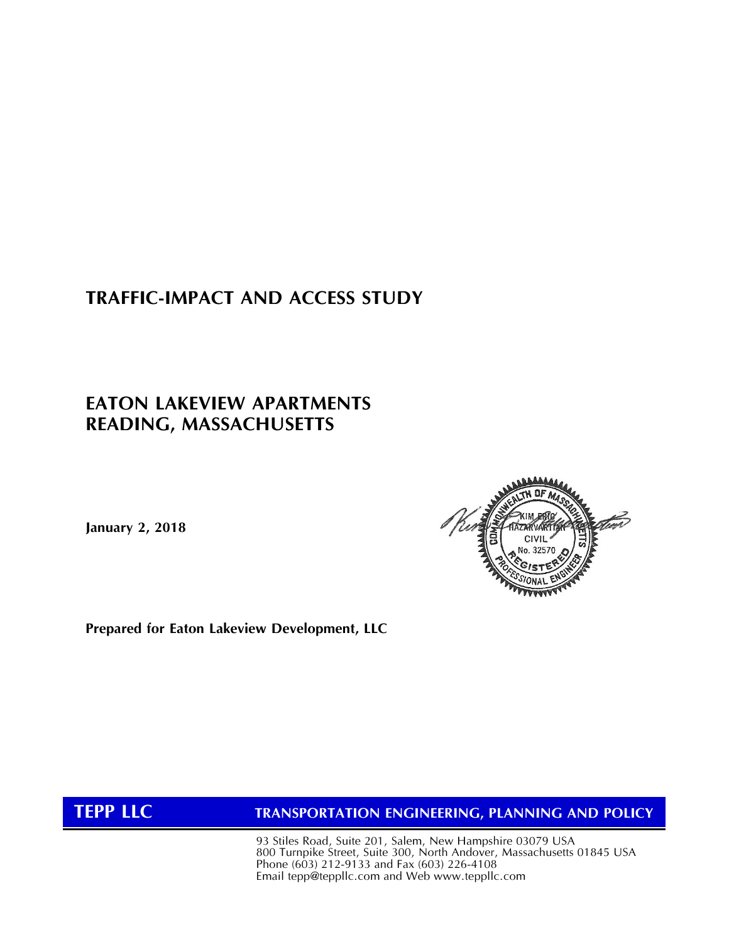# **TRAFFIC-IMPACT AND ACCESS STUDY**

## **EATON LAKEVIEW APARTMENTS READING, MASSACHUSETTS**

**January 2, 2018**



**Prepared for Eaton Lakeview Development, LLC**

**TEPP LLC TRANSPORTATION ENGINEERING, PLANNING AND POLICY**

93 Stiles Road, Suite 201, Salem, New Hampshire 03079 USA 800 Turnpike Street, Suite 300, North Andover, Massachusetts 01845 USA Phone (603) 212-9133 and Fax (603) 226-4108 Email [tepp@teppllc.com and](mailto:tepp@teppllc.com%20and) Web www.teppllc.com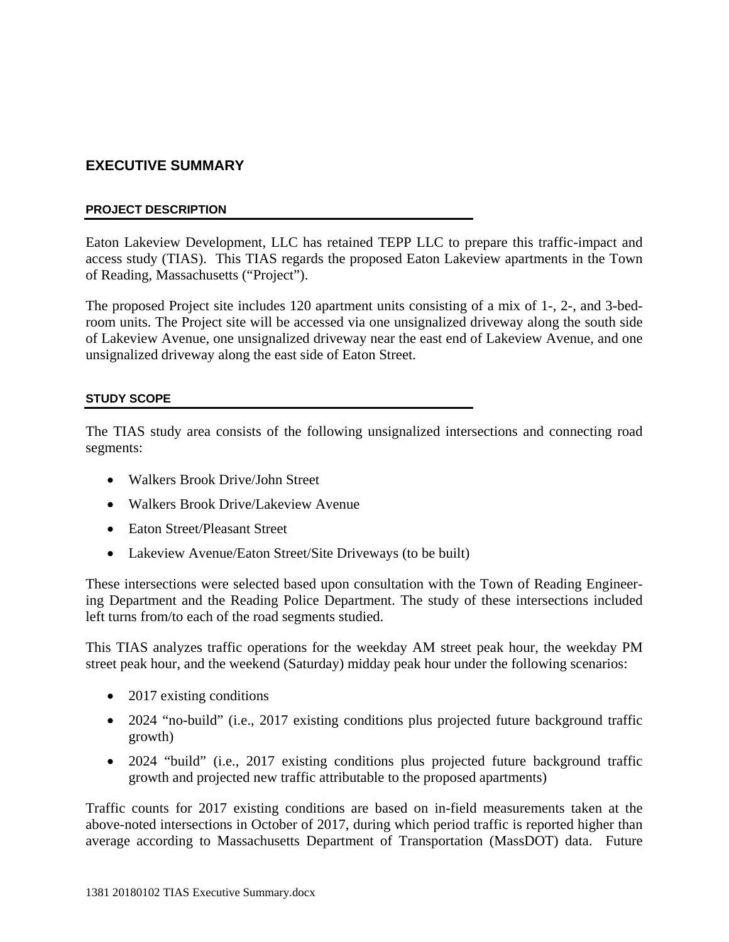## **EXECUTIVE SUMMARY**

#### **PROJECT DESCRIPTION**

Eaton Lakeview Development, LLC has retained TEPP LLC to prepare this traffic-impact and access study (TIAS). This TIAS regards the proposed Eaton Lakeview apartments in the Town of Reading, Massachusetts ("Project").

The proposed Project site includes 120 apartment units consisting of a mix of 1-, 2-, and 3-bedroom units. The Project site will be accessed via one unsignalized driveway along the south side of Lakeview Avenue, one unsignalized driveway near the east end of Lakeview Avenue, and one unsignalized driveway along the east side of Eaton Street.

#### **STUDY SCOPE**

The TIAS study area consists of the following unsignalized intersections and connecting road segments:

- Walkers Brook Drive/John Street
- Walkers Brook Drive/Lakeview Avenue
- Eaton Street/Pleasant Street
- Lakeview Avenue/Eaton Street/Site Driveways (to be built)

These intersections were selected based upon consultation with the Town of Reading Engineering Department and the Reading Police Department. The study of these intersections included left turns from/to each of the road segments studied.

This TIAS analyzes traffic operations for the weekday AM street peak hour, the weekday PM street peak hour, and the weekend (Saturday) midday peak hour under the following scenarios:

- 2017 existing conditions
- 2024 "no-build" (i.e., 2017 existing conditions plus projected future background traffic growth)
- 2024 "build" (i.e., 2017 existing conditions plus projected future background traffic growth and projected new traffic attributable to the proposed apartments)

Traffic counts for 2017 existing conditions are based on in-field measurements taken at the above-noted intersections in October of 2017, during which period traffic is reported higher than average according to Massachusetts Department of Transportation (MassDOT) data. Future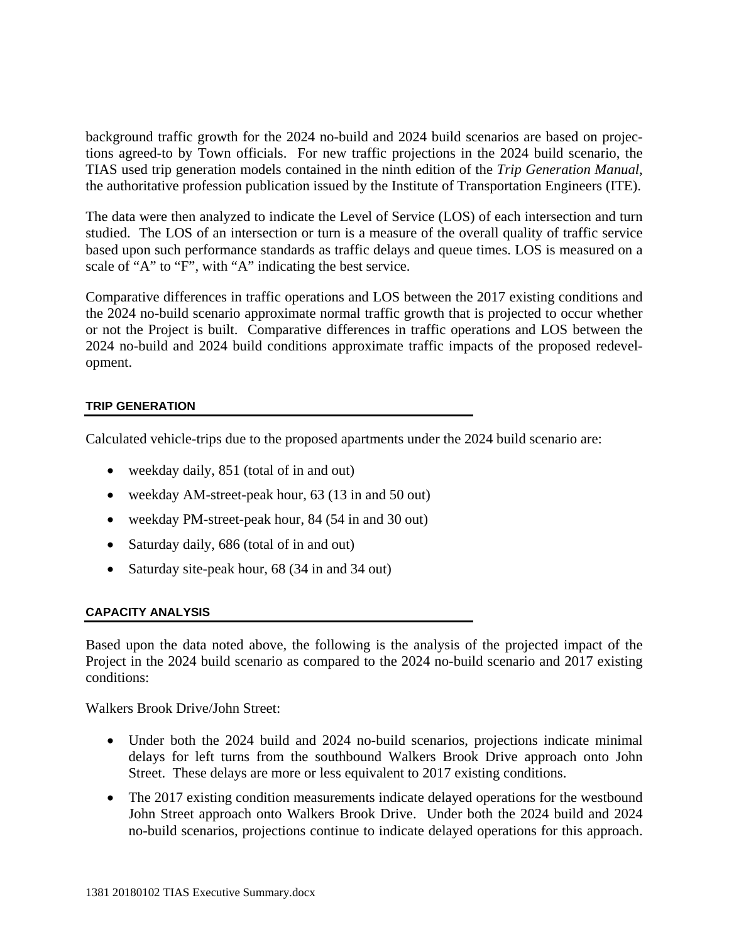background traffic growth for the 2024 no-build and 2024 build scenarios are based on projections agreed-to by Town officials. For new traffic projections in the 2024 build scenario, the TIAS used trip generation models contained in the ninth edition of the *Trip Generation Manual*, the authoritative profession publication issued by the Institute of Transportation Engineers (ITE).

The data were then analyzed to indicate the Level of Service (LOS) of each intersection and turn studied. The LOS of an intersection or turn is a measure of the overall quality of traffic service based upon such performance standards as traffic delays and queue times. LOS is measured on a scale of "A" to "F", with "A" indicating the best service.

Comparative differences in traffic operations and LOS between the 2017 existing conditions and the 2024 no-build scenario approximate normal traffic growth that is projected to occur whether or not the Project is built. Comparative differences in traffic operations and LOS between the 2024 no-build and 2024 build conditions approximate traffic impacts of the proposed redevelopment.

### **TRIP GENERATION**

Calculated vehicle-trips due to the proposed apartments under the 2024 build scenario are:

- weekday daily, 851 (total of in and out)
- weekday AM-street-peak hour, 63 (13 in and 50 out)
- weekday PM-street-peak hour, 84 (54 in and 30 out)
- Saturday daily, 686 (total of in and out)
- Saturday site-peak hour, 68 (34 in and 34 out)

#### **CAPACITY ANALYSIS**

Based upon the data noted above, the following is the analysis of the projected impact of the Project in the 2024 build scenario as compared to the 2024 no-build scenario and 2017 existing conditions:

Walkers Brook Drive/John Street:

- Under both the 2024 build and 2024 no-build scenarios, projections indicate minimal delays for left turns from the southbound Walkers Brook Drive approach onto John Street. These delays are more or less equivalent to 2017 existing conditions.
- The 2017 existing condition measurements indicate delayed operations for the westbound John Street approach onto Walkers Brook Drive. Under both the 2024 build and 2024 no-build scenarios, projections continue to indicate delayed operations for this approach.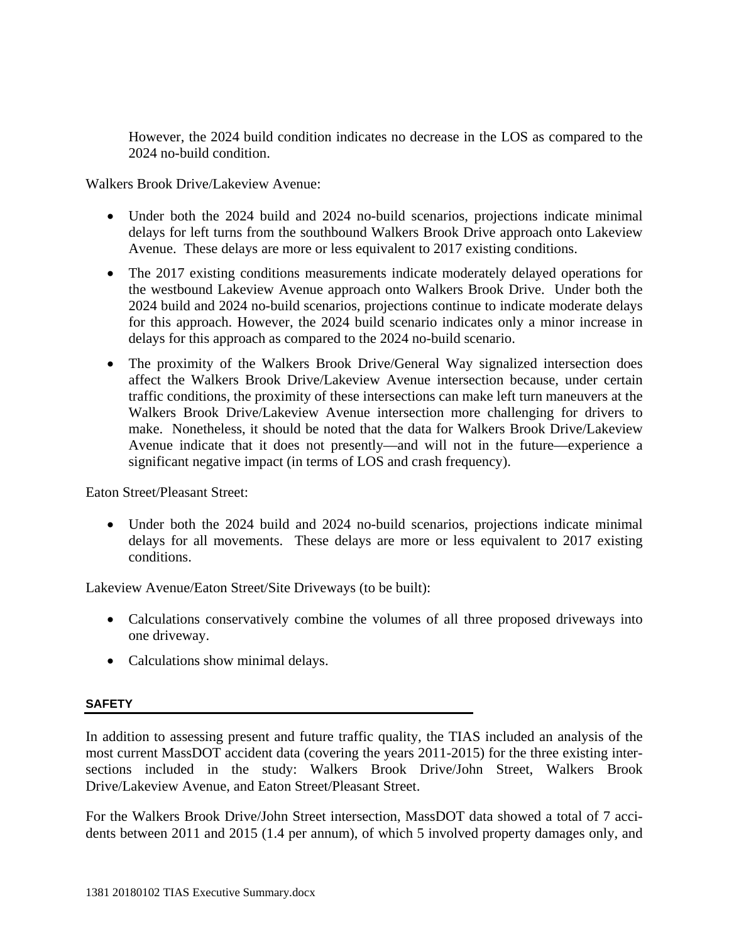However, the 2024 build condition indicates no decrease in the LOS as compared to the 2024 no-build condition.

Walkers Brook Drive/Lakeview Avenue:

- Under both the 2024 build and 2024 no-build scenarios, projections indicate minimal delays for left turns from the southbound Walkers Brook Drive approach onto Lakeview Avenue. These delays are more or less equivalent to 2017 existing conditions.
- The 2017 existing conditions measurements indicate moderately delayed operations for the westbound Lakeview Avenue approach onto Walkers Brook Drive. Under both the 2024 build and 2024 no-build scenarios, projections continue to indicate moderate delays for this approach. However, the 2024 build scenario indicates only a minor increase in delays for this approach as compared to the 2024 no-build scenario.
- The proximity of the Walkers Brook Drive/General Way signalized intersection does affect the Walkers Brook Drive/Lakeview Avenue intersection because, under certain traffic conditions, the proximity of these intersections can make left turn maneuvers at the Walkers Brook Drive/Lakeview Avenue intersection more challenging for drivers to make. Nonetheless, it should be noted that the data for Walkers Brook Drive/Lakeview Avenue indicate that it does not presently—and will not in the future—experience a significant negative impact (in terms of LOS and crash frequency).

Eaton Street/Pleasant Street:

• Under both the 2024 build and 2024 no-build scenarios, projections indicate minimal delays for all movements. These delays are more or less equivalent to 2017 existing conditions.

Lakeview Avenue/Eaton Street/Site Driveways (to be built):

- Calculations conservatively combine the volumes of all three proposed driveways into one driveway.
- Calculations show minimal delays.

### **SAFETY**

In addition to assessing present and future traffic quality, the TIAS included an analysis of the most current MassDOT accident data (covering the years 2011-2015) for the three existing intersections included in the study: Walkers Brook Drive/John Street, Walkers Brook Drive/Lakeview Avenue, and Eaton Street/Pleasant Street.

For the Walkers Brook Drive/John Street intersection, MassDOT data showed a total of 7 accidents between 2011 and 2015 (1.4 per annum), of which 5 involved property damages only, and